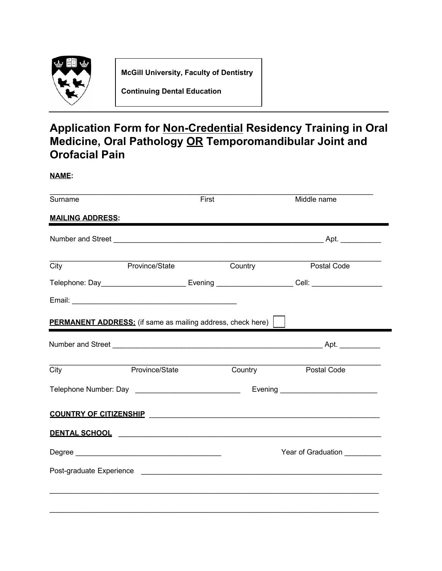

**McGill University, Faculty of Dentistry**

**Continuing Dental Education**

## **Application Form for Non-Credential Residency Training in Oral Medicine, Oral Pathology OR Temporomandibular Joint and Orofacial Pain**

**NAME:**

| Surname                                                            |                | First |                             | Middle name                                                                                                                                                                                                                   |
|--------------------------------------------------------------------|----------------|-------|-----------------------------|-------------------------------------------------------------------------------------------------------------------------------------------------------------------------------------------------------------------------------|
| <b>MAILING ADDRESS:</b>                                            |                |       |                             |                                                                                                                                                                                                                               |
|                                                                    |                |       |                             |                                                                                                                                                                                                                               |
| City                                                               | Province/State |       | Country                     | Postal Code                                                                                                                                                                                                                   |
|                                                                    |                |       |                             | Telephone: Day___________________________ Evening ______________________Cell: _____________________                                                                                                                           |
|                                                                    |                |       |                             |                                                                                                                                                                                                                               |
| <b>PERMANENT ADDRESS:</b> (if same as mailing address, check here) |                |       |                             |                                                                                                                                                                                                                               |
|                                                                    |                |       |                             |                                                                                                                                                                                                                               |
| City                                                               | Province/State |       | Country                     | Postal Code                                                                                                                                                                                                                   |
|                                                                    |                |       |                             |                                                                                                                                                                                                                               |
|                                                                    |                |       |                             |                                                                                                                                                                                                                               |
|                                                                    |                |       |                             | DENTAL SCHOOL CONTRACTED AND THE RESIDENCE OF A SERIES AND THE RESIDENCE OF A SERIES OF A SERIES OF A SERIES OF A SERIES OF A SERIES OF A SERIES OF A SERIES OF A SERIES OF A SERIES OF A SERIES OF A SERIES OF A SERIES OF A |
|                                                                    |                |       | Year of Graduation ________ |                                                                                                                                                                                                                               |
|                                                                    |                |       |                             |                                                                                                                                                                                                                               |
|                                                                    |                |       |                             | ,我们也不能在这里的人,我们也不能在这里的人,我们也不能在这里的人,我们也不能在这里的人,我们也不能在这里的人,我们也不能在这里的人,我们也不能在这里的人,我们也                                                                                                                                             |
|                                                                    |                |       |                             |                                                                                                                                                                                                                               |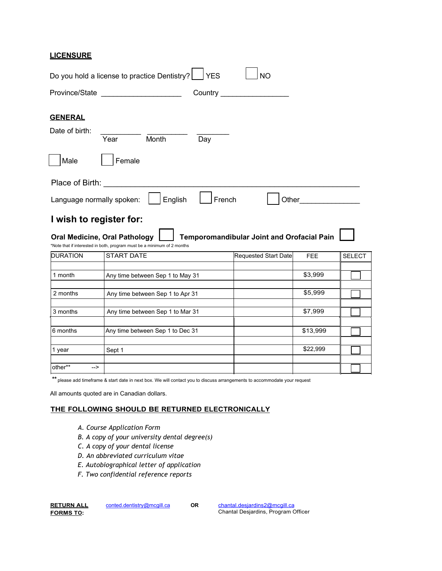### **LICENSURE**

|                                              | <b>TYES</b><br>Do you hold a license to practice Dentistry?             | <b>NO</b>                                  |            |               |
|----------------------------------------------|-------------------------------------------------------------------------|--------------------------------------------|------------|---------------|
| Province/State _                             | Country                                                                 |                                            |            |               |
| <b>GENERAL</b><br>Date of birth:<br>Male     | Month<br>Year<br>Day<br>Female                                          |                                            |            |               |
| Place of Birth:<br>Language normally spoken: | French<br>English                                                       | Other                                      |            |               |
| <b>Oral Medicine, Oral Pathology</b>         | I wish to register for:                                                 |                                            |            |               |
|                                              | *Note that if interested in both, program must be a minimum of 2 months | Temporomandibular Joint and Orofacial Pain |            |               |
| <b>DURATION</b>                              | <b>START DATE</b>                                                       | <b>Requested Start Date</b>                | <b>FEE</b> | <b>SELECT</b> |
| 1 month                                      | Any time between Sep 1 to May 31                                        |                                            | \$3,999    |               |
| 2 months                                     | Any time between Sep 1 to Apr 31                                        |                                            | \$5,999    |               |
| 3 months                                     | Any time between Sep 1 to Mar 31                                        |                                            | \$7,999    |               |
| 6 months                                     | Any time between Sep 1 to Dec 31                                        |                                            | \$13,999   |               |
| 1 year                                       | Sept 1                                                                  |                                            | \$22,999   |               |

**\*\*** please add timeframe & start date in next box. We will contact you to discuss arrangements to accommodate your request

All amounts quoted are in Canadian dollars.

#### **T+E FOLLO:IN\* S+OULD %E RETURNED ELECTRONICALLY**

- *A. Course Application Form*
- *B. A copy of your university dental degree(s)*
- *C. A copy of your dental license*
- *D. An abbreviated curriculum vitae*
- *E. Autobiographical letter of application*
- *F. Two confidential reference reports*

| <u>RETURN ALL</u> |
|-------------------|
| <b>FORMS TO:</b>  |

conted.dentistry@mcgill.ca **OR** 

chantal.desjardins2@mcgill.ca

Chantal Desjardins, Program Officer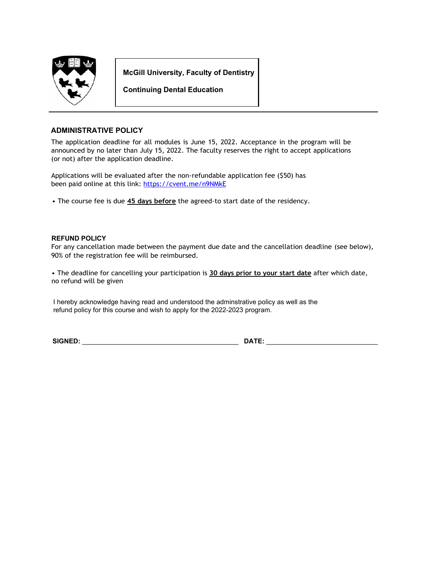

**McGill University, Faculty of Dentistry**

**Continuing Dental Education**

#### **ADMINISTRATIVE POLICY**

The application deadline for all modules is June 15, 2022. Acceptance in the program will be announced by no later than July 15, 2022. The faculty reserves the right to accept applications (or not) after the application deadline.

Applications will be evaluated after the non-refundable application fee (\$50) has been paid online at this link: <https://cvent.me/n9NMkE>

The course fee is due **45 days before** the agreed-to start date of the residency.

#### **REFUND POLICY**

For any cancellation made between the payment due date and the cancellation deadline (see below), 90% of the registration fee will be reimbursed.

 The deadline for cancelling your participation is **30 days prior to your start date** after which date, no refund will be given

I hereby acknowledge having read and understood the adminstrative policy as well as the refund policy for this course and wish to apply for the 2022-2023 program.

**SI\*NED:** BBBBBBBBBBBBBBBBBBBBBBBBBBBBBBBBBBBBBBBBBB **DATE:** BBBBBBBBBBBBBBBBBBBB\_\_\_\_\_\_\_BBB